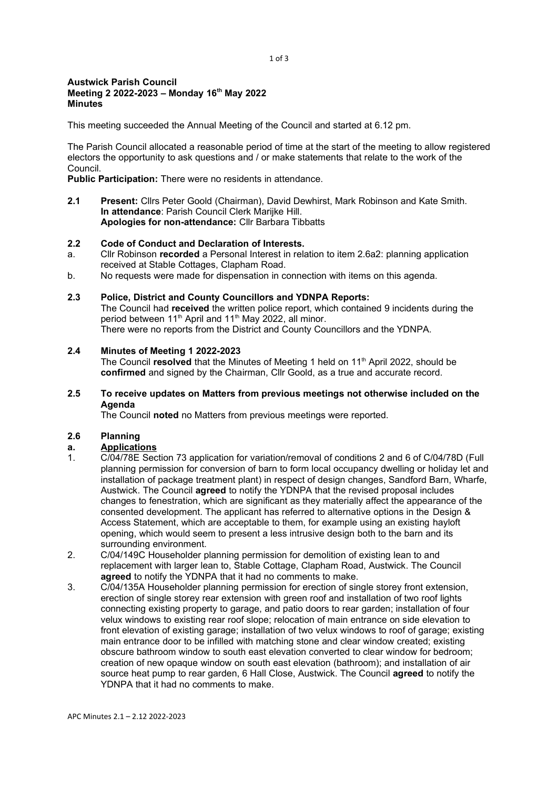#### 1 of 3

#### Austwick Parish Council Meeting 2 2022-2023 – Monday 16th May 2022 **Minutes**

This meeting succeeded the Annual Meeting of the Council and started at 6.12 pm.

The Parish Council allocated a reasonable period of time at the start of the meeting to allow registered electors the opportunity to ask questions and / or make statements that relate to the work of the Council.

Public Participation: There were no residents in attendance.

2.1 Present: Cllrs Peter Goold (Chairman), David Dewhirst, Mark Robinson and Kate Smith. In attendance: Parish Council Clerk Marijke Hill. Apologies for non-attendance: Cllr Barbara Tibbatts

#### 2.2 Code of Conduct and Declaration of Interests.

- a. Cllr Robinson recorded a Personal Interest in relation to item 2.6a2: planning application received at Stable Cottages, Clapham Road.
- b. No requests were made for dispensation in connection with items on this agenda.

#### 2.3 Police, District and County Councillors and YDNPA Reports:

The Council had received the written police report, which contained 9 incidents during the period between 11<sup>th</sup> April and 11<sup>th</sup> May 2022, all minor. There were no reports from the District and County Councillors and the YDNPA.

#### 2.4 Minutes of Meeting 1 2022-2023

The Council resolved that the Minutes of Meeting 1 held on 11<sup>th</sup> April 2022, should be confirmed and signed by the Chairman, Cllr Goold, as a true and accurate record.

### 2.5 To receive updates on Matters from previous meetings not otherwise included on the Agenda

The Council noted no Matters from previous meetings were reported.

#### 2.6 Planning

### a. Applications

- 1. C/04/78E Section 73 application for variation/removal of conditions 2 and 6 of C/04/78D (Full planning permission for conversion of barn to form local occupancy dwelling or holiday let and installation of package treatment plant) in respect of design changes, Sandford Barn, Wharfe, Austwick. The Council agreed to notify the YDNPA that the revised proposal includes changes to fenestration, which are significant as they materially affect the appearance of the consented development. The applicant has referred to alternative options in the Design & Access Statement, which are acceptable to them, for example using an existing hayloft opening, which would seem to present a less intrusive design both to the barn and its surrounding environment.
- 2. C/04/149C Householder planning permission for demolition of existing lean to and replacement with larger lean to, Stable Cottage, Clapham Road, Austwick. The Council agreed to notify the YDNPA that it had no comments to make.
- 3. C/04/135A Householder planning permission for erection of single storey front extension, erection of single storey rear extension with green roof and installation of two roof lights connecting existing property to garage, and patio doors to rear garden; installation of four velux windows to existing rear roof slope; relocation of main entrance on side elevation to front elevation of existing garage; installation of two velux windows to roof of garage; existing main entrance door to be infilled with matching stone and clear window created; existing obscure bathroom window to south east elevation converted to clear window for bedroom; creation of new opaque window on south east elevation (bathroom); and installation of air source heat pump to rear garden, 6 Hall Close, Austwick. The Council **agreed** to notify the YDNPA that it had no comments to make.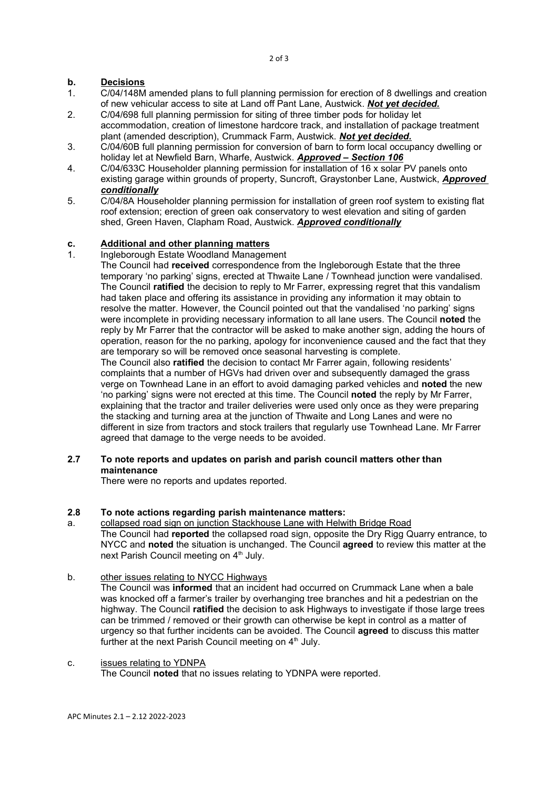# b. Decisions

- 1. C/04/148M amended plans to full planning permission for erection of 8 dwellings and creation of new vehicular access to site at Land off Pant Lane, Austwick. Not yet decided.
- 2. C/04/698 full planning permission for siting of three timber pods for holiday let accommodation, creation of limestone hardcore track, and installation of package treatment plant (amended description), Crummack Farm, Austwick. Not yet decided.
- 3. C/04/60B full planning permission for conversion of barn to form local occupancy dwelling or holiday let at Newfield Barn, Wharfe, Austwick. Approved - Section 106
- 4. C/04/633C Householder planning permission for installation of 16 x solar PV panels onto existing garage within grounds of property, Suncroft, Graystonber Lane, Austwick, Approved conditionally
- 5. C/04/8A Householder planning permission for installation of green roof system to existing flat roof extension; erection of green oak conservatory to west elevation and siting of garden shed, Green Haven, Clapham Road, Austwick. Approved conditionally

## c. Additional and other planning matters

## 1. Ingleborough Estate Woodland Management

The Council had received correspondence from the Ingleborough Estate that the three temporary 'no parking' signs, erected at Thwaite Lane / Townhead junction were vandalised. The Council **ratified** the decision to reply to Mr Farrer, expressing regret that this vandalism had taken place and offering its assistance in providing any information it may obtain to resolve the matter. However, the Council pointed out that the vandalised 'no parking' signs were incomplete in providing necessary information to all lane users. The Council noted the reply by Mr Farrer that the contractor will be asked to make another sign, adding the hours of operation, reason for the no parking, apology for inconvenience caused and the fact that they are temporary so will be removed once seasonal harvesting is complete.

The Council also ratified the decision to contact Mr Farrer again, following residents' complaints that a number of HGVs had driven over and subsequently damaged the grass verge on Townhead Lane in an effort to avoid damaging parked vehicles and noted the new 'no parking' signs were not erected at this time. The Council noted the reply by Mr Farrer, explaining that the tractor and trailer deliveries were used only once as they were preparing the stacking and turning area at the junction of Thwaite and Long Lanes and were no different in size from tractors and stock trailers that regularly use Townhead Lane. Mr Farrer agreed that damage to the verge needs to be avoided.

## 2.7 To note reports and updates on parish and parish council matters other than maintenance

There were no reports and updates reported.

## 2.8 To note actions regarding parish maintenance matters:

- a. collapsed road sign on junction Stackhouse Lane with Helwith Bridge Road The Council had reported the collapsed road sign, opposite the Dry Rigg Quarry entrance, to NYCC and noted the situation is unchanged. The Council agreed to review this matter at the next Parish Council meeting on 4<sup>th</sup> July.
- b. other issues relating to NYCC Highways

The Council was informed that an incident had occurred on Crummack Lane when a bale was knocked off a farmer's trailer by overhanging tree branches and hit a pedestrian on the highway. The Council ratified the decision to ask Highways to investigate if those large trees can be trimmed / removed or their growth can otherwise be kept in control as a matter of urgency so that further incidents can be avoided. The Council agreed to discuss this matter further at the next Parish Council meeting on  $4<sup>th</sup>$  July.

#### c. issues relating to YDNPA

The Council noted that no issues relating to YDNPA were reported.